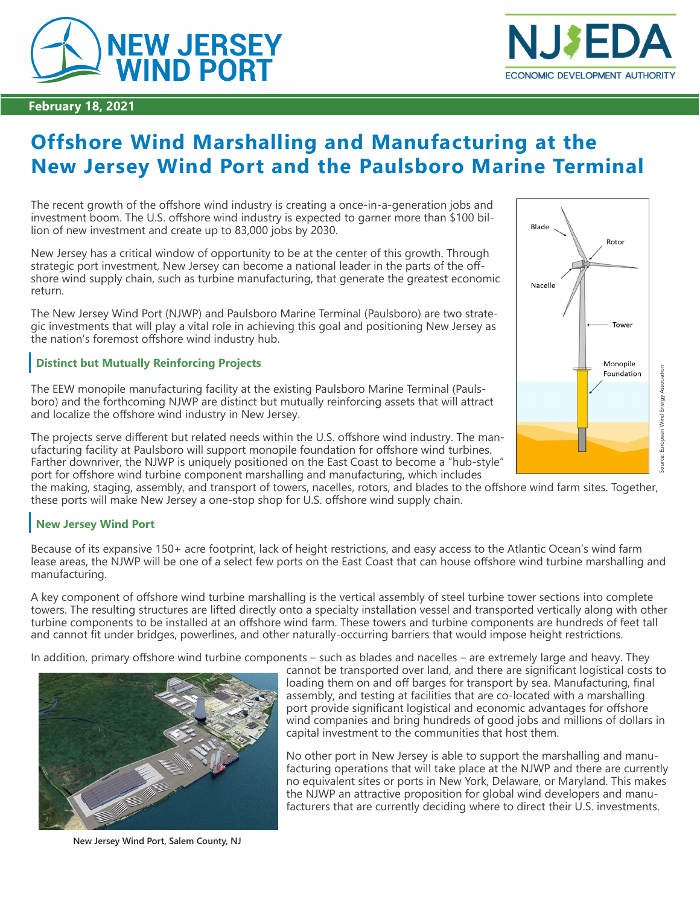



### **February 18, 2021**

# **Offshore Wind Marshalling and Manufacturing at the New Jersey Wind Port and the Paulsboro Marine Terminal**

The recent growth of the offshore wind industry is creating a once-in-a-generation jobs and investment boom. The U.S. offshore wind industry is expected to garner more than \$100 billion of new investment and create up to 83,000 jobs by 2030.

New Jersey has a critical window of opportunity to be at the center of this growth. Through strategic port investment, New Jersey can become a national leader in the parts of the offshore wind supply chain, such as turbine manufacturing, that generate the greatest economic return.

The New Jersey Wind Port (NJWP) and Paulsboro Marine Terminal (Paulsboro) are two strategic investments that will play a vital role in achieving this goal and positioning New Jersey as the nation's foremost offshore wind industry hub.

## **Distinct but Mutually Reinforcing Projects**

The EEW monopile manufacturing facility at the existing Paulsboro Marine Terminal (Paulsboro) and the forthcoming NJWP are distinct but mutually reinforcing assets that will attract and localize the offshore wind industry in New Jersey.

The projects serve different but related needs within the U.S. offshore wind industry. The manufacturing facility at Paulsboro will support monopile foundation for offshore wind turbines. Farther downriver, the NJWP is uniquely positioned on the East Coast to become a "hub-style" port for offshore wind turbine component marshalling and manufacturing, which includes

the making, staging, assembly, and transport of towers, nacelles, rotors, and blades to the offshore wind farm sites. Together, these ports will make New Jersey a one-stop shop for U.S. offshore wind supply chain.

## **New Jersey Wind Port**

Because of its expansive 150+ acre footprint, lack of height restrictions, and easy access to the Atlantic Ocean's wind farm lease areas, the NJWP will be one of a select few ports on the East Coast that can house offshore wind turbine marshalling and manufacturing.

A key component of offshore wind turbine marshalling is the vertical assembly of steel turbine tower sections into complete towers. The resulting structures are lifted directly onto a specialty installation vessel and transported vertically along with other turbine components to be installed at an offshore wind farm. These towers and turbine components are hundreds of feet tall and cannot fit under bridges, powerlines, and other naturally-occurring barriers that would impose height restrictions.

In addition, primary offshore wind turbine components – such as blades and nacelles – are extremely large and heavy. They



**New Jersey Wind Port, Salem County, NJ**

cannot be transported over land, and there are significant logistical costs to loading them on and off barges for transport by sea. Manufacturing, final assembly, and testing at facilities that are co-located with a marshalling port provide significant logistical and economic advantages for offshore wind companies and bring hundreds of good jobs and millions of dollars in capital investment to the communities that host them.

No other port in New Jersey is able to support the marshalling and manufacturing operations that will take place at the NJWP and there are currently no equivalent sites or ports in New York, Delaware, or Maryland. This makes the NJWP an attractive proposition for global wind developers and manufacturers that are currently deciding where to direct their U.S. investments.